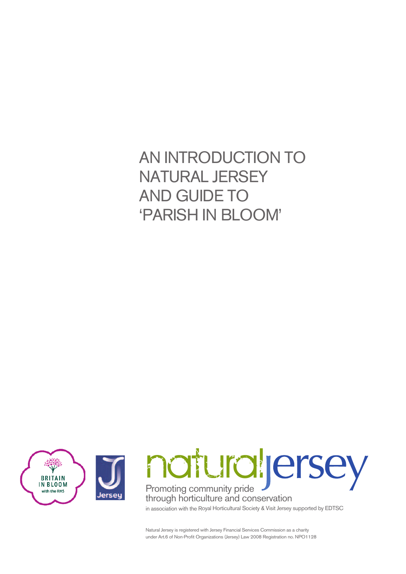# AN INTRODUCTION TO NATURAL JERSEY AND GUIDE TO 'PARISH IN BLOOM'



Natural Jersey is registered with Jersey Financial Services Commission as <sup>a</sup> charity under Art.6 of Non-Profit Organizations (Jersey) Law <sup>2008</sup> Registration no. NPO1128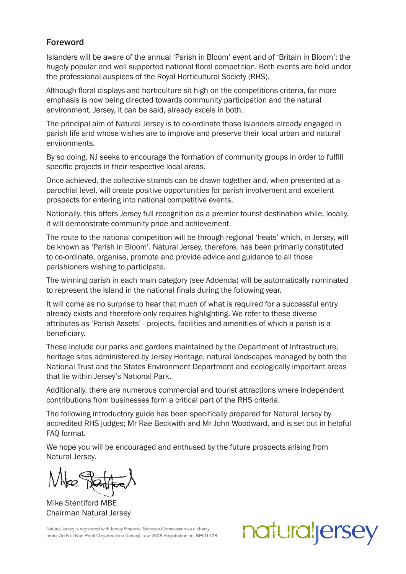#### Foreword

Islanders will be aware of the annual 'Parish in Bloom' event and of 'Britain in Bloom'; the hugely popular and well supported national floral competition. Both events are held under the professional auspices of the Royal Horticultural Society (RHS).

Although floral displays and horticulture sit high on the competitions criteria, far more emphasis is now being directed towards community participation and the natural environment. Jersey, it can be said, already excels in both.

The principal aim of Natural Jersey is to co-ordinate those Islanders already engaged in parish life and whose wishes are to improve and preserve their local urban and natural environments.

By so doing, NJ seeks to encourage the formation of community groups in order to fulfill specific projects in their respective local areas.

Once achieved, the collective strands can be drawn together and, when presented at a parochial level, will create positive opportunities for parish involvement and excellent prospects for entering into national competitive events.

Nationally, this offers Jersey full recognition as a premier tourist destination while, locally, it will demonstrate community pride and achievement.

The route to the national competition will be through regional 'heats' which, in Jersey, will be known as 'Parish in Bloom'. Natural Jersey, therefore, has been primarily constituted to co-ordinate, organise, promote and provide advice and guidance to all those parishioners wishing to participate.

The winning parish in each main category (see Addenda) will be automatically nominated to represent the Island in the national finals during the following year.

It will come as no surprise to hear that much of what is required for a successful entry already exists and therefore only requires highlighting. We refer to these diverse attributes as 'Parish Assets' - projects, facilities and amenities of which a parish is a beneficiary.

These include our parks and gardens maintained by the Department of Infrastructure, heritage sites administered by Jersey Heritage, natural landscapes managed by both the National Trust and the States Environment Department and ecologically important areas that lie within Jersey's National Park.

Additionally, there are numerous commercial and tourist attractions where independent contributions from businesses form a critical part of the RHS criteria.

The following introductory guide has been specifically prepared for Natural Jersey by accredited RHS judges; Mr Rae Beckwith and Mr John Woodward, and is set out in helpful FAQ format.

We hope you will be encouraged and enthused by the future prospects arising from Natural Jersey.

Mike Stentiford MBE Chairman Natural Jersey

Natural Jersey is registered with Jersey Financial Services Commission as a charity under Art.6 of Non-Profit Organizations (Jersey) Law 2008 Registration no. NPO1128

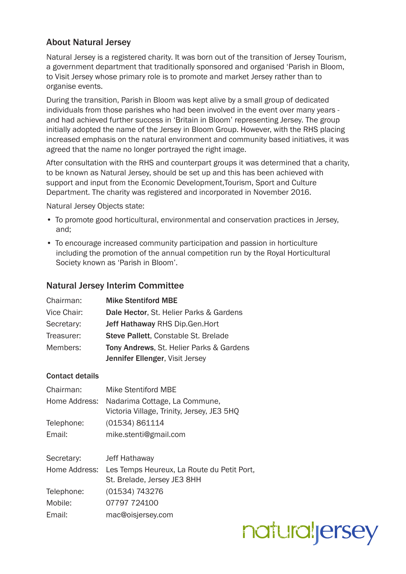# About Natural Jersey

Natural Jersey is a registered charity. It was born out of the transition of Jersey Tourism, a government department that traditionally sponsored and organised 'Parish in Bloom, to Visit Jersey whose primary role is to promote and market Jersey rather than to organise events.

During the transition, Parish in Bloom was kept alive by a small group of dedicated individuals from those parishes who had been involved in the event over many years and had achieved further success in 'Britain in Bloom' representing Jersey. The group initially adopted the name of the Jersey in Bloom Group. However, with the RHS placing increased emphasis on the natural environment and community based initiatives, it was agreed that the name no longer portrayed the right image.

After consultation with the RHS and counterpart groups it was determined that a charity, to be known as Natural Jersey, should be set up and this has been achieved with support and input from the Economic Development,Tourism, Sport and Culture Department. The charity was registered and incorporated in November 2016.

Natural Jersey Objects state:

- To promote good horticultural, environmental and conservation practices in Jersey, and;
- To encourage increased community participation and passion in horticulture including the promotion of the annual competition run by the Royal Horticultural Society known as 'Parish in Bloom'.

#### Natural Jersey Interim Committee

| Chairman:   | <b>Mike Stentiford MBE</b>               |  |  |  |
|-------------|------------------------------------------|--|--|--|
| Vice Chair: | Dale Hector, St. Helier Parks & Gardens  |  |  |  |
| Secretary:  | <b>Jeff Hathaway RHS Dip.Gen.Hort</b>    |  |  |  |
| Treasurer:  | Steve Pallett, Constable St. Brelade     |  |  |  |
| Members:    | Tony Andrews, St. Helier Parks & Gardens |  |  |  |
|             | Jennifer Ellenger, Visit Jersey          |  |  |  |

#### Contact details

| Chairman:     | <b>Mike Stentiford MBE</b>                                                  |  |  |  |  |  |
|---------------|-----------------------------------------------------------------------------|--|--|--|--|--|
| Home Address: | Nadarima Cottage, La Commune,<br>Victoria Village, Trinity, Jersey, JE3 5HQ |  |  |  |  |  |
| Telephone:    | (01534) 861114                                                              |  |  |  |  |  |
| Email:        | mike.stenti@gmail.com                                                       |  |  |  |  |  |
|               |                                                                             |  |  |  |  |  |
| Secretary:    | <b>Jeff Hathaway</b>                                                        |  |  |  |  |  |
| Home Address: | Les Temps Heureux, La Route du Petit Port,<br>St. Brelade, Jersey JE3 8HH   |  |  |  |  |  |
| Telephone:    | (01534) 743276                                                              |  |  |  |  |  |
| Mobile:       | 07797 724100                                                                |  |  |  |  |  |
| Email:        | mac@oisjersey.com                                                           |  |  |  |  |  |

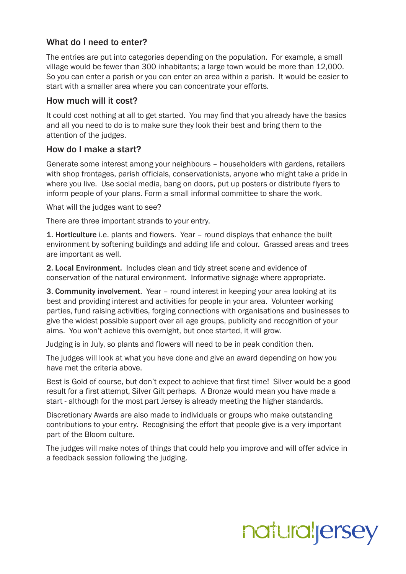# What do I need to enter?

The entries are put into categories depending on the population. For example, a small village would be fewer than 300 inhabitants; a large town would be more than 12,000. So you can enter a parish or you can enter an area within a parish. It would be easier to start with a smaller area where you can concentrate your efforts.

#### How much will it cost?

It could cost nothing at all to get started. You may find that you already have the basics and all you need to do is to make sure they look their best and bring them to the attention of the judges.

### How do I make a start?

Generate some interest among your neighbours – householders with gardens, retailers with shop frontages, parish officials, conservationists, anyone who might take a pride in where you live. Use social media, bang on doors, put up posters or distribute flyers to inform people of your plans. Form a small informal committee to share the work.

What will the judges want to see?

There are three important strands to your entry.

1. Horticulture i.e. plants and flowers. Year – round displays that enhance the built environment by softening buildings and adding life and colour. Grassed areas and trees are important as well.

2. Local Environment. Includes clean and tidy street scene and evidence of conservation of the natural environment. Informative signage where appropriate.

3. Community involvement. Year – round interest in keeping your area looking at its best and providing interest and activities for people in your area. Volunteer working parties, fund raising activities, forging connections with organisations and businesses to give the widest possible support over all age groups, publicity and recognition of your aims. You won't achieve this overnight, but once started, it will grow.

Judging is in July, so plants and flowers will need to be in peak condition then.

The judges will look at what you have done and give an award depending on how you have met the criteria above.

Best is Gold of course, but don't expect to achieve that first time! Silver would be a good result for a first attempt, Silver Gilt perhaps. A Bronze would mean you have made a start - although for the most part Jersey is already meeting the higher standards.

Discretionary Awards are also made to individuals or groups who make outstanding contributions to your entry. Recognising the effort that people give is a very important part of the Bloom culture.

The judges will make notes of things that could help you improve and will offer advice in a feedback session following the judging.

# natural<sub>l</sub>ersey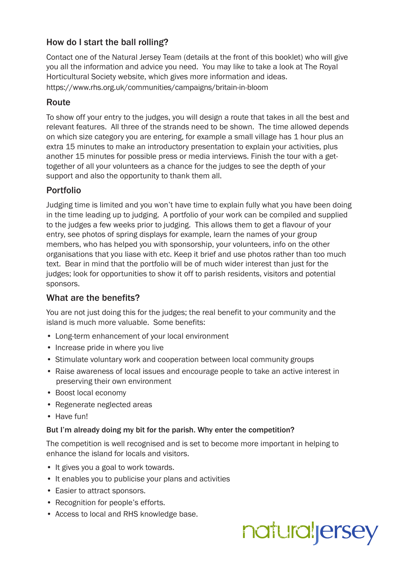# How do I start the ball rolling?

Contact one of the Natural Jersey Team (details at the front of this booklet) who will give you all the information and advice you need. You may like to take a look at The Royal Horticultural Society website, which gives more information and ideas. https://www.rhs.org.uk/communities/campaigns/britain-in-bloom

# **Route**

To show off your entry to the judges, you will design a route that takes in all the best and relevant features. All three of the strands need to be shown. The time allowed depends on which size category you are entering, for example a small village has 1 hour plus an extra 15 minutes to make an introductory presentation to explain your activities, plus another 15 minutes for possible press or media interviews. Finish the tour with a gettogether of all your volunteers as a chance for the judges to see the depth of your support and also the opportunity to thank them all.

# Portfolio

Judging time is limited and you won't have time to explain fully what you have been doing in the time leading up to judging. A portfolio of your work can be compiled and supplied to the judges a few weeks prior to judging. This allows them to get a flavour of your entry, see photos of spring displays for example, learn the names of your group members, who has helped you with sponsorship, your volunteers, info on the other organisations that you liase with etc. Keep it brief and use photos rather than too much text. Bear in mind that the portfolio will be of much wider interest than just for the judges; look for opportunities to show it off to parish residents, visitors and potential sponsors.

# What are the benefits?

You are not just doing this for the judges; the real benefit to your community and the island is much more valuable. Some benefits:

- Long-term enhancement of your local environment
- Increase pride in where you live
- Stimulate voluntary work and cooperation between local community groups
- Raise awareness of local issues and encourage people to take an active interest in preserving their own environment
- Boost local economy
- Regenerate neglected areas
- Have fun!

#### But I'm already doing my bit for the parish. Why enter the competition?

The competition is well recognised and is set to become more important in helping to enhance the island for locals and visitors.

- It gives you a goal to work towards.
- It enables you to publicise your plans and activities
- Easier to attract sponsors.
- Recognition for people's efforts.
- Access to local and RHS knowledge base.